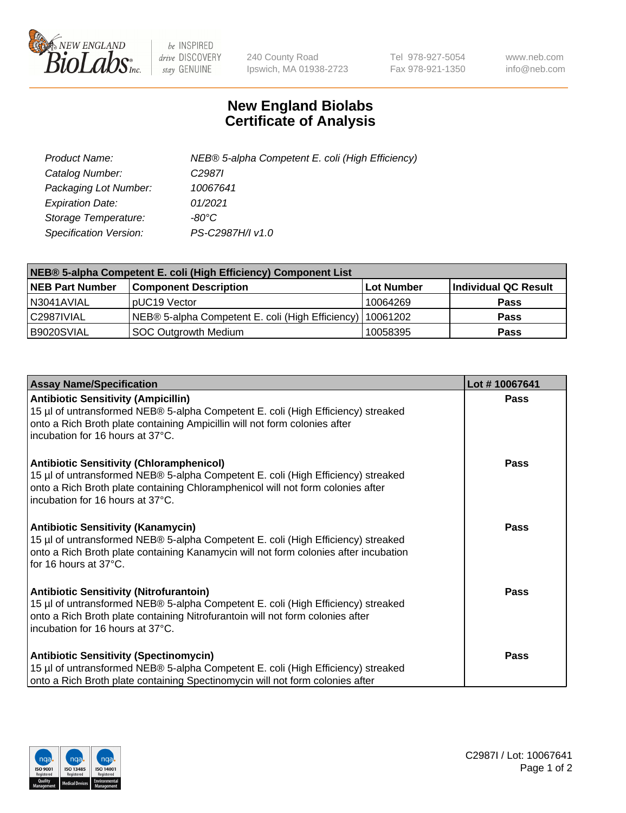

 $be$  INSPIRED drive DISCOVERY stay GENUINE

240 County Road Ipswich, MA 01938-2723 Tel 978-927-5054 Fax 978-921-1350 www.neb.com info@neb.com

## **New England Biolabs Certificate of Analysis**

| Product Name:           | NEB® 5-alpha Competent E. coli (High Efficiency) |
|-------------------------|--------------------------------------------------|
| Catalog Number:         | C <sub>2987</sub>                                |
| Packaging Lot Number:   | 10067641                                         |
| <b>Expiration Date:</b> | 01/2021                                          |
| Storage Temperature:    | -80°C                                            |
| Specification Version:  | PS-C2987H/I v1.0                                 |

| NEB® 5-alpha Competent E. coli (High Efficiency) Component List |                                                             |            |                      |  |
|-----------------------------------------------------------------|-------------------------------------------------------------|------------|----------------------|--|
| <b>NEB Part Number</b>                                          | <b>Component Description</b>                                | Lot Number | Individual QC Result |  |
| N3041AVIAL                                                      | pUC19 Vector                                                | 10064269   | <b>Pass</b>          |  |
| C2987IVIAL                                                      | NEB® 5-alpha Competent E. coli (High Efficiency)   10061202 |            | <b>Pass</b>          |  |
| B9020SVIAL                                                      | <b>SOC Outgrowth Medium</b>                                 | 10058395   | <b>Pass</b>          |  |

| <b>Assay Name/Specification</b>                                                                                                                                                                                                                            | Lot #10067641 |
|------------------------------------------------------------------------------------------------------------------------------------------------------------------------------------------------------------------------------------------------------------|---------------|
| <b>Antibiotic Sensitivity (Ampicillin)</b><br>15 µl of untransformed NEB® 5-alpha Competent E. coli (High Efficiency) streaked<br>onto a Rich Broth plate containing Ampicillin will not form colonies after<br>incubation for 16 hours at 37°C.           | Pass          |
| <b>Antibiotic Sensitivity (Chloramphenicol)</b><br>15 µl of untransformed NEB® 5-alpha Competent E. coli (High Efficiency) streaked<br>onto a Rich Broth plate containing Chloramphenicol will not form colonies after<br>incubation for 16 hours at 37°C. | Pass          |
| <b>Antibiotic Sensitivity (Kanamycin)</b><br>15 µl of untransformed NEB® 5-alpha Competent E. coli (High Efficiency) streaked<br>onto a Rich Broth plate containing Kanamycin will not form colonies after incubation<br>for 16 hours at 37°C.             | Pass          |
| <b>Antibiotic Sensitivity (Nitrofurantoin)</b><br>15 µl of untransformed NEB® 5-alpha Competent E. coli (High Efficiency) streaked<br>onto a Rich Broth plate containing Nitrofurantoin will not form colonies after<br>incubation for 16 hours at 37°C.   | <b>Pass</b>   |
| <b>Antibiotic Sensitivity (Spectinomycin)</b><br>15 µl of untransformed NEB® 5-alpha Competent E. coli (High Efficiency) streaked<br>onto a Rich Broth plate containing Spectinomycin will not form colonies after                                         | Pass          |